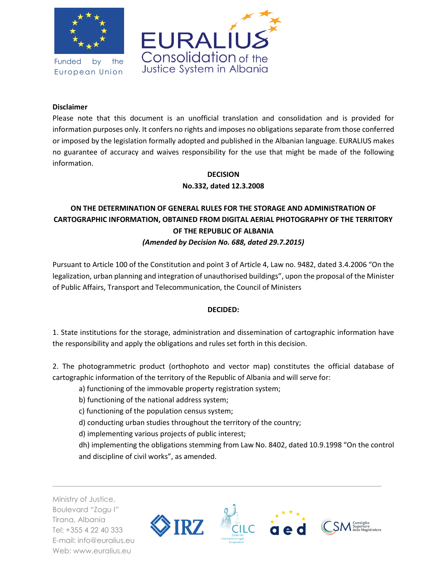

Funded by the European Union



## **Disclaimer**

Please note that this document is an unofficial translation and consolidation and is provided for information purposes only. It confers no rights and imposes no obligations separate from those conferred or imposed by the legislation formally adopted and published in the Albanian language. EURALIUS makes no guarantee of accuracy and waives responsibility for the use that might be made of the following information.

## **DECISION No.332, dated 12.3.2008**

## **ON THE DETERMINATION OF GENERAL RULES FOR THE STORAGE AND ADMINISTRATION OF CARTOGRAPHIC INFORMATION, OBTAINED FROM DIGITAL AERIAL PHOTOGRAPHY OF THE TERRITORY OF THE REPUBLIC OF ALBANIA** *(Amended by Decision No. 688, dated 29.7.2015)*

Pursuant to Article 100 of the Constitution and point 3 of Article 4, Law no. 9482, dated 3.4.2006 "On the legalization, urban planning and integration of unauthorised buildings", upon the proposal of the Minister of Public Affairs, Transport and Telecommunication, the Council of Ministers

## **DECIDED:**

1. State institutions for the storage, administration and dissemination of cartographic information have the responsibility and apply the obligations and rules set forth in this decision.

2. The photogrammetric product (orthophoto and vector map) constitutes the official database of cartographic information of the territory of the Republic of Albania and will serve for:

a) functioning of the immovable property registration system;

- b) functioning of the national address system;
- c) functioning of the population census system;
- d) conducting urban studies throughout the territory of the country;
- d) implementing various projects of public interest;

dh) implementing the obligations stemming from Law No. 8402, dated 10.9.1998 "On the control and discipline of civil works", as amended.

Ministry of Justice, Boulevard "Zogu I" Tirana, Albania Tel: +355 4 22 40 333 E-mail: info@euralius.eu Web: www.euralius.eu

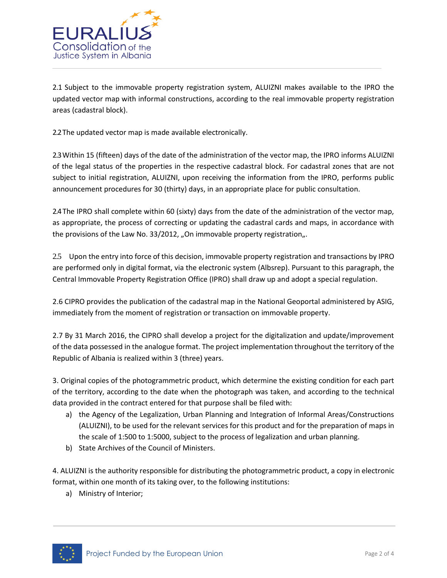

2.1 Subject to the immovable property registration system, ALUIZNI makes available to the IPRO the updated vector map with informal constructions, according to the real immovable property registration areas (cadastral block).

2.2 The updated vector map is made available electronically.

2.3 Within 15 (fifteen) days of the date of the administration of the vector map, the IPRO informs ALUIZNI of the legal status of the properties in the respective cadastral block. For cadastral zones that are not subject to initial registration, ALUIZNI, upon receiving the information from the IPRO, performs public announcement procedures for 30 (thirty) days, in an appropriate place for public consultation.

2.4 The IPRO shall complete within 60 (sixty) days from the date of the administration of the vector map, as appropriate, the process of correcting or updating the cadastral cards and maps, in accordance with the provisions of the Law No. 33/2012, "On immovable property registration".

2.5 Upon the entry into force of this decision, immovable property registration and transactions by IPRO are performed only in digital format, via the electronic system (Albsrep). Pursuant to this paragraph, the Central Immovable Property Registration Office (IPRO) shall draw up and adopt a special regulation.

2.6 CIPRO provides the publication of the cadastral map in the National Geoportal administered by ASIG, immediately from the moment of registration or transaction on immovable property.

2.7 By 31 March 2016, the CIPRO shall develop a project for the digitalization and update/improvement of the data possessed in the analogue format. The project implementation throughout the territory of the Republic of Albania is realized within 3 (three) years.

3. Original copies of the photogrammetric product, which determine the existing condition for each part of the territory, according to the date when the photograph was taken, and according to the technical data provided in the contract entered for that purpose shall be filed with:

- a) the Agency of the Legalization, Urban Planning and Integration of Informal Areas/Constructions (ALUIZNI), to be used for the relevant services for this product and for the preparation of maps in the scale of 1:500 to 1:5000, subject to the process of legalization and urban planning.
- b) State Archives of the Council of Ministers.

4. ALUIZNI is the authority responsible for distributing the photogrammetric product, a copy in electronic format, within one month of its taking over, to the following institutions:

a) Ministry of Interior;

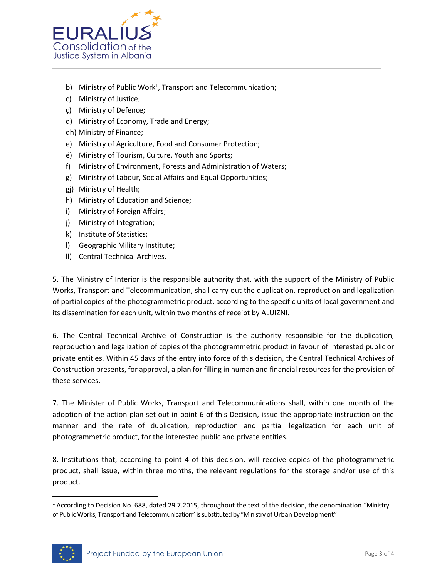

- b) Ministry of Public Work<sup>1</sup>, Transport and Telecommunication;
- c) Ministry of Justice;
- ç) Ministry of Defence;
- d) Ministry of Economy, Trade and Energy;
- dh) Ministry of Finance;
- e) Ministry of Agriculture, Food and Consumer Protection;
- ë) Ministry of Tourism, Culture, Youth and Sports;
- f) Ministry of Environment, Forests and Administration of Waters;
- g) Ministry of Labour, Social Affairs and Equal Opportunities;
- gj) Ministry of Health;
- h) Ministry of Education and Science;
- i) Ministry of Foreign Affairs;
- j) Ministry of Integration;
- k) Institute of Statistics;
- l) Geographic Military Institute;
- ll) Central Technical Archives.

5. The Ministry of Interior is the responsible authority that, with the support of the Ministry of Public Works, Transport and Telecommunication, shall carry out the duplication, reproduction and legalization of partial copies of the photogrammetric product, according to the specific units of local government and its dissemination for each unit, within two months of receipt by ALUIZNI.

6. The Central Technical Archive of Construction is the authority responsible for the duplication, reproduction and legalization of copies of the photogrammetric product in favour of interested public or private entities. Within 45 days of the entry into force of this decision, the Central Technical Archives of Construction presents, for approval, a plan for filling in human and financial resources for the provision of these services.

7. The Minister of Public Works, Transport and Telecommunications shall, within one month of the adoption of the action plan set out in point 6 of this Decision, issue the appropriate instruction on the manner and the rate of duplication, reproduction and partial legalization for each unit of photogrammetric product, for the interested public and private entities.

8. Institutions that, according to point 4 of this decision, will receive copies of the photogrammetric product, shall issue, within three months, the relevant regulations for the storage and/or use of this product.

<sup>&</sup>lt;sup>1</sup> According to Decision No. 688, dated 29.7.2015, throughout the text of the decision, the denomination "Ministry of Public Works, Transport and Telecommunication" is substituted by "Ministry of Urban Development"



 $\overline{a}$